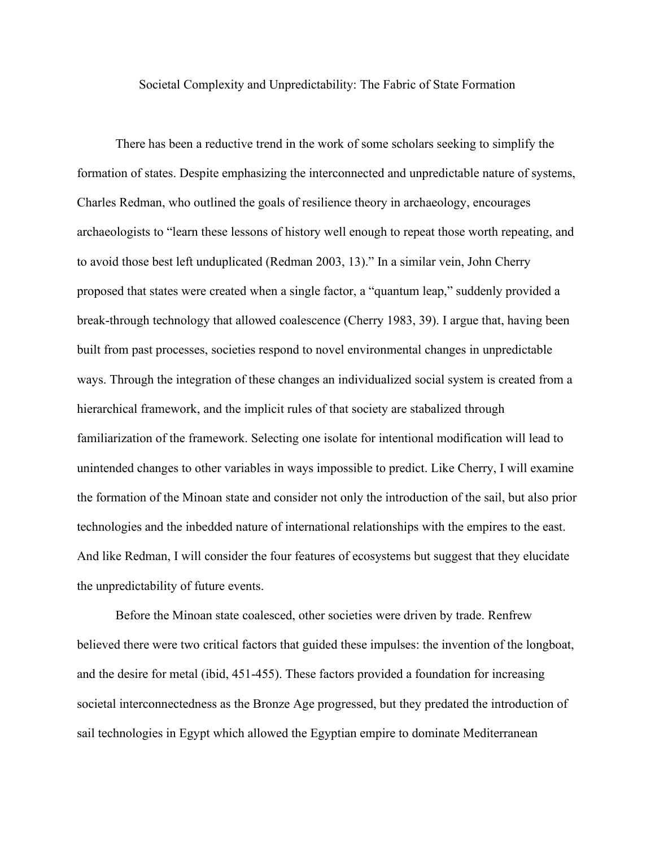Societal Complexity and Unpredictability: The Fabric of State Formation

There has been a reductive trend in the work of some scholars seeking to simplify the formation of states. Despite emphasizing the interconnected and unpredictable nature of systems, Charles Redman, who outlined the goals of resilience theory in archaeology, encourages archaeologists to "learn these lessons of history well enough to repeat those worth repeating, and to avoid those best left unduplicated (Redman 2003, 13)." In a similar vein, John Cherry proposed that states were created when a single factor, a "quantum leap," suddenly provided a break-through technology that allowed coalescence (Cherry 1983, 39). I argue that, having been built from past processes, societies respond to novel environmental changes in unpredictable ways. Through the integration of these changes an individualized social system is created from a hierarchical framework, and the implicit rules of that society are stabalized through familiarization of the framework. Selecting one isolate for intentional modification will lead to unintended changes to other variables in ways impossible to predict. Like Cherry, I will examine the formation of the Minoan state and consider not only the introduction of the sail, but also prior technologies and the inbedded nature of international relationships with the empires to the east. And like Redman, I will consider the four features of ecosystems but suggest that they elucidate the unpredictability of future events.

Before the Minoan state coalesced, other societies were driven by trade. Renfrew believed there were two critical factors that guided these impulses: the invention of the longboat, and the desire for metal (ibid, 451-455). These factors provided a foundation for increasing societal interconnectedness as the Bronze Age progressed, but they predated the introduction of sail technologies in Egypt which allowed the Egyptian empire to dominate Mediterranean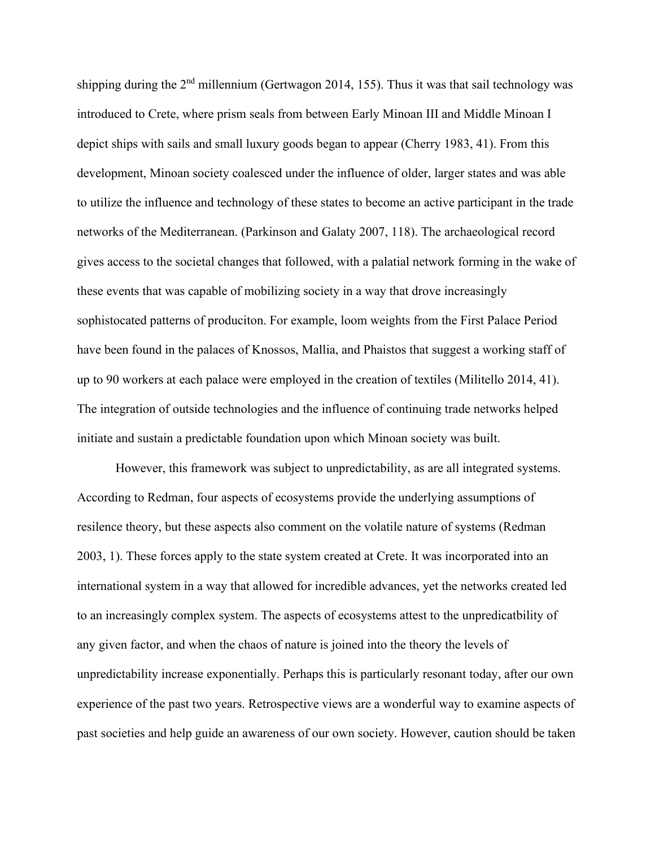shipping during the  $2<sup>nd</sup>$  millennium (Gertwagon 2014, 155). Thus it was that sail technology was introduced to Crete, where prism seals from between Early Minoan III and Middle Minoan I depict ships with sails and small luxury goods began to appear (Cherry 1983, 41). From this development, Minoan society coalesced under the influence of older, larger states and was able to utilize the influence and technology of these states to become an active participant in the trade networks of the Mediterranean. (Parkinson and Galaty 2007, 118). The archaeological record gives access to the societal changes that followed, with a palatial network forming in the wake of these events that was capable of mobilizing society in a way that drove increasingly sophistocated patterns of produciton. For example, loom weights from the First Palace Period have been found in the palaces of Knossos, Mallia, and Phaistos that suggest a working staff of up to 90 workers at each palace were employed in the creation of textiles (Militello 2014, 41). The integration of outside technologies and the influence of continuing trade networks helped initiate and sustain a predictable foundation upon which Minoan society was built.

However, this framework was subject to unpredictability, as are all integrated systems. According to Redman, four aspects of ecosystems provide the underlying assumptions of resilence theory, but these aspects also comment on the volatile nature of systems (Redman 2003, 1). These forces apply to the state system created at Crete. It was incorporated into an international system in a way that allowed for incredible advances, yet the networks created led to an increasingly complex system. The aspects of ecosystems attest to the unpredicatbility of any given factor, and when the chaos of nature is joined into the theory the levels of unpredictability increase exponentially. Perhaps this is particularly resonant today, after our own experience of the past two years. Retrospective views are a wonderful way to examine aspects of past societies and help guide an awareness of our own society. However, caution should be taken